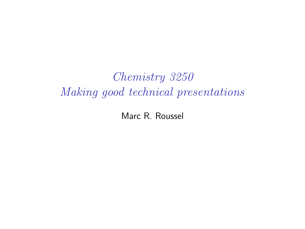Chemistry 3250 Making good technical presentations

Marc R. Roussel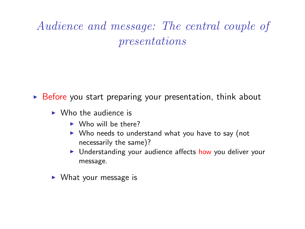# Audience and message: The central couple of presentations

 $\triangleright$  Before you start preparing your presentation, think about

- $\triangleright$  Who the audience is
	- $\triangleright$  Who will be there?
	- $\triangleright$  Who needs to understand what you have to say (not necessarily the same)?
	- I Understanding your audience affects how you deliver your message.
- $\triangleright$  What your message is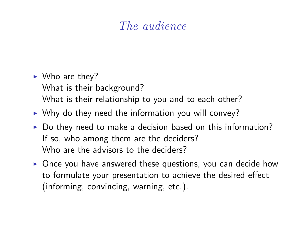### The audience

- $\blacktriangleright$  Who are they? What is their background? What is their relationship to you and to each other?
- $\triangleright$  Why do they need the information you will convey?
- $\triangleright$  Do they need to make a decision based on this information? If so, who among them are the deciders? Who are the advisors to the deciders?
- $\triangleright$  Once you have answered these questions, you can decide how to formulate your presentation to achieve the desired effect (informing, convincing, warning, etc.).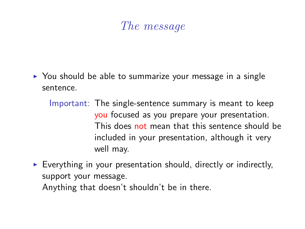### The message

- $\triangleright$  You should be able to summarize your message in a single sentence.
	- Important: The single-sentence summary is meant to keep you focused as you prepare your presentation. This does not mean that this sentence should be included in your presentation, although it very well may.
- $\triangleright$  Everything in your presentation should, directly or indirectly, support your message. Anything that doesn't shouldn't be in there.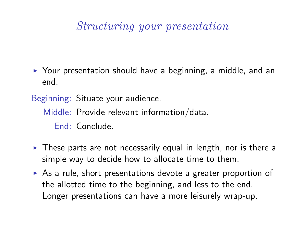#### Structuring your presentation

 $\triangleright$  Your presentation should have a beginning, a middle, and an end.

Beginning: Situate your audience. Middle: Provide relevant information/data. End: Conclude.

- $\triangleright$  These parts are not necessarily equal in length, nor is there a simple way to decide how to allocate time to them.
- $\triangleright$  As a rule, short presentations devote a greater proportion of the allotted time to the beginning, and less to the end. Longer presentations can have a more leisurely wrap-up.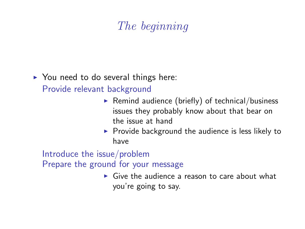## The beginning

 $\triangleright$  You need to do several things here:

Provide relevant background

- Remind audience (briefly) of technical/business issues they probably know about that bear on the issue at hand
- $\triangleright$  Provide background the audience is less likely to have

Introduce the issue/problem Prepare the ground for your message

> $\triangleright$  Give the audience a reason to care about what you're going to say.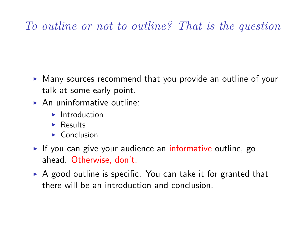## To outline or not to outline? That is the question

- $\blacktriangleright$  Many sources recommend that you provide an outline of your talk at some early point.
- $\triangleright$  An uninformative outline:
	- $\blacktriangleright$  Introduction
	- $\blacktriangleright$  Results
	- $\triangleright$  Conclusion
- If you can give your audience an informative outline, go ahead. Otherwise, don't.
- $\triangleright$  A good outline is specific. You can take it for granted that there will be an introduction and conclusion.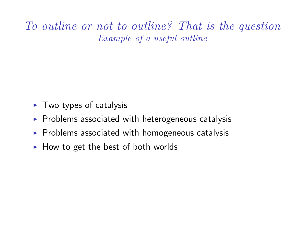To outline or not to outline? That is the question Example of a useful outline

- $\blacktriangleright$  Two types of catalysis
- $\triangleright$  Problems associated with heterogeneous catalysis
- $\triangleright$  Problems associated with homogeneous catalysis
- $\blacktriangleright$  How to get the best of both worlds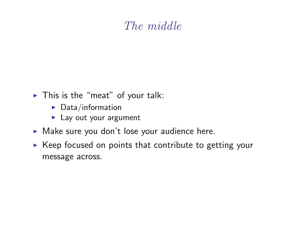### The middle

- $\blacktriangleright$  This is the "meat" of your talk:
	- $\blacktriangleright$  Data/information
	- $\blacktriangleright$  Lay out your argument
- $\blacktriangleright$  Make sure you don't lose your audience here.
- $\triangleright$  Keep focused on points that contribute to getting your message across.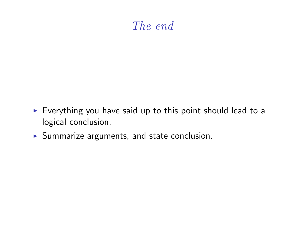### The end

- $\triangleright$  Everything you have said up to this point should lead to a logical conclusion.
- $\blacktriangleright$  Summarize arguments, and state conclusion.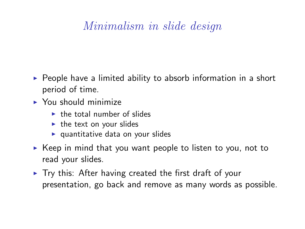### Minimalism in slide design

- $\triangleright$  People have a limited ability to absorb information in a short period of time.
- $\blacktriangleright$  You should minimize
	- $\blacktriangleright$  the total number of slides
	- $\blacktriangleright$  the text on your slides
	- $\blacktriangleright$  quantitative data on your slides
- $\triangleright$  Keep in mind that you want people to listen to you, not to read your slides.
- $\triangleright$  Try this: After having created the first draft of your presentation, go back and remove as many words as possible.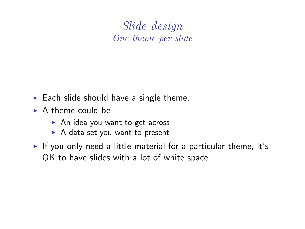Slide design One theme per slide

- $\blacktriangleright$  Each slide should have a single theme.
- $\triangleright$  A theme could be
	- $\triangleright$  An idea you want to get across
	- $\triangleright$  A data set you want to present
- If you only need a little material for a particular theme, it's OK to have slides with a lot of white space.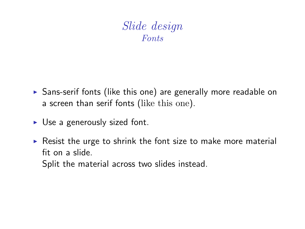#### Slide design Fonts

- $\triangleright$  Sans-serif fonts (like this one) are generally more readable on a screen than serif fonts (like this one).
- $\triangleright$  Use a generously sized font.
- $\triangleright$  Resist the urge to shrink the font size to make more material fit on a slide.

Split the material across two slides instead.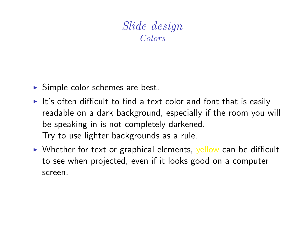#### Slide design Colors

- $\triangleright$  Simple color schemes are best.
- $\blacktriangleright$  It's often difficult to find a text color and font that is easily readable on a dark background, especially if the room you will be speaking in is not completely darkened. Try to use lighter backgrounds as a rule.
- $\triangleright$  Whether for text or graphical elements, yellow can be difficult to see when projected, even if it looks good on a computer screen.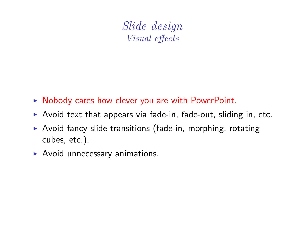Slide design Visual effects

- $\triangleright$  Nobody cares how clever you are with PowerPoint.
- $\triangleright$  Avoid text that appears via fade-in, fade-out, sliding in, etc.
- $\triangleright$  Avoid fancy slide transitions (fade-in, morphing, rotating cubes, etc.).
- $\blacktriangleright$  Avoid unnecessary animations.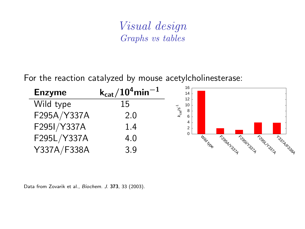#### Visual design Graphs vs tables

For the reaction catalyzed by mouse acetylcholinesterase:

| <b>Enzyme</b> | $\rm{k_{cat}}/10^{4}$ min $^{-1}$ | 16<br>14                                     |
|---------------|-----------------------------------|----------------------------------------------|
| Wild type     | 15                                | 12<br>10<br>π.                               |
| F295A/Y337A   |                                   | k <sub>cat</sub> /s<br>8<br>6                |
| F295I/Y337A   | 1.4                               | $\overline{2}$                               |
| F295L/Y337A   | 4.0                               | $\Omega$<br>Wild Moe<br>Frost Ysald          |
| Y337A/F338A   | 3.9                               | Frosh Hoop<br>F327AFC338A<br><b>CONTROLL</b> |

Data from Zovarik et al., Biochem. J. 373, 33 (2003).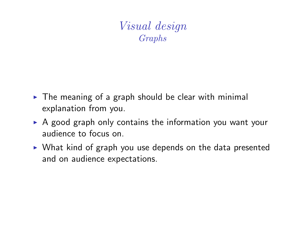Visual design Graphs

- $\triangleright$  The meaning of a graph should be clear with minimal explanation from you.
- $\triangleright$  A good graph only contains the information you want your audience to focus on.
- $\triangleright$  What kind of graph you use depends on the data presented and on audience expectations.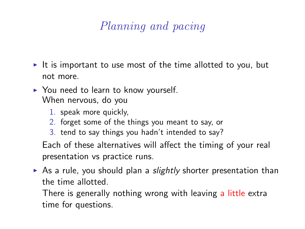## Planning and pacing

- It is important to use most of the time allotted to you, but not more.
- $\triangleright$  You need to learn to know yourself. When nervous, do you
	- 1. speak more quickly,
	- 2. forget some of the things you meant to say, or
	- 3. tend to say things you hadn't intended to say?

Each of these alternatives will affect the timing of your real presentation vs practice runs.

As a rule, you should plan a *slightly* shorter presentation than the time allotted.

There is generally nothing wrong with leaving a little extra time for questions.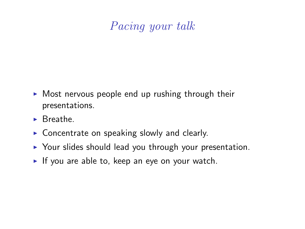### Pacing your talk

- $\triangleright$  Most nervous people end up rushing through their presentations.
- $\blacktriangleright$  Breathe
- $\triangleright$  Concentrate on speaking slowly and clearly.
- $\triangleright$  Your slides should lead you through your presentation.
- If you are able to, keep an eye on your watch.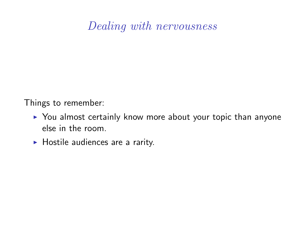#### Dealing with nervousness

Things to remember:

- $\triangleright$  You almost certainly know more about your topic than anyone else in the room.
- $\blacktriangleright$  Hostile audiences are a rarity.